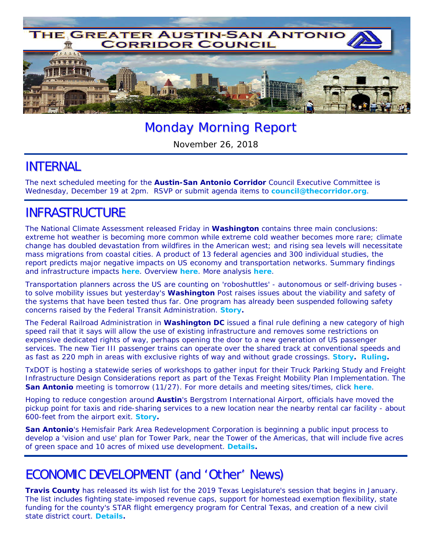

# Monday Morning Report

November 26, 2018

### INTERNAL

The next scheduled meeting for the **Austin-San Antonio Corridor** Council Executive Committee is Wednesday, December 19 at 2pm. RSVP or submit agenda items to **council@thecorridor.org**.

## INFRASTRUCTURE

The National Climate Assessment released Friday in **Washington** contains three main conclusions: extreme hot weather is becoming more common while extreme cold weather becomes more rare; climate change has doubled devastation from wildfires in the American west; and rising sea levels will necessitate mass migrations from coastal cities. A product of 13 federal agencies and 300 individual studies, the report predicts major negative impacts on US economy and transportation networks. Summary findings and infrastructure impacts *here*. Overview *here*. More analysis *here*.

Transportation planners across the US are counting on 'roboshuttles' - autonomous or self-driving buses to solve mobility issues but yesterday's *Washington Post* raises issues about the viability and safety of the systems that have been tested thus far. One program has already been suspended following safety concerns raised by the Federal Transit Administration. *Story.* 

The Federal Railroad Administration in **Washington DC** issued a final rule defining a new category of high speed rail that it says will allow the use of existing infrastructure and removes some restrictions on expensive dedicated rights of way, perhaps opening the door to a new generation of US passenger services. The new Tier III passenger trains can operate over the shared track at conventional speeds and as fast as 220 mph in areas with exclusive rights of way and without grade crossings. *Story. Ruling.*

TxDOT is hosting a statewide series of workshops to gather input for their Truck Parking Study and Freight Infrastructure Design Considerations report as part of the Texas Freight Mobility Plan Implementation. The **San Antonio** meeting is tomorrow (11/27). For more details and meeting sites/times, click *here*.

Hoping to reduce congestion around **Austin**'s Bergstrom International Airport, officials have moved the pickup point for taxis and ride-sharing services to a new location near the nearby rental car facility - about 600-feet from the airport exit. *Story***.** 

**San Antonio**'s Hemisfair Park Area Redevelopment Corporation is beginning a public input process to develop a 'vision and use' plan for Tower Park, near the Tower of the Americas, that will include five acres of green space and 10 acres of mixed use development. *Details.*

### ECONOMIC DEVELOPMENT (and 'Other' News)

**Travis County** has released its wish list for the 2019 Texas Legislature's session that begins in January. The list includes fighting state-imposed revenue caps, support for homestead exemption flexibility, state funding for the county's STAR flight emergency program for Central Texas, and creation of a new civil state district court. *Details.*